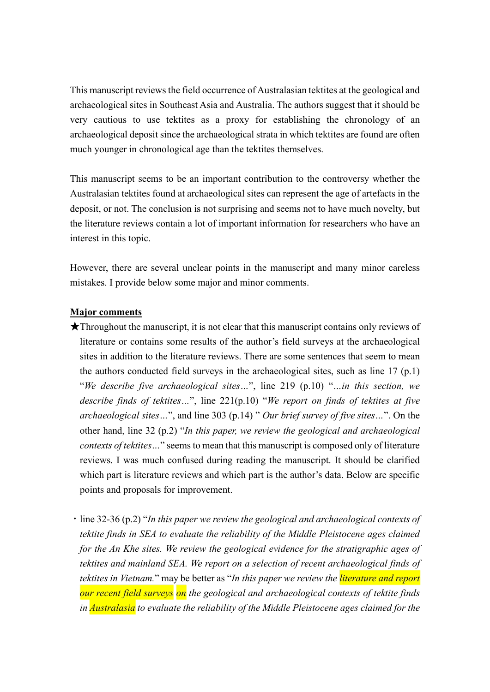This manuscript reviews the field occurrence of Australasian tektites at the geological and archaeological sites in Southeast Asia and Australia. The authors suggest that it should be very cautious to use tektites as a proxy for establishing the chronology of an archaeological deposit since the archaeological strata in which tektites are found are often much younger in chronological age than the tektites themselves.

This manuscript seems to be an important contribution to the controversy whether the Australasian tektites found at archaeological sites can represent the age of artefacts in the deposit, or not. The conclusion is not surprising and seems not to have much novelty, but the literature reviews contain a lot of important information for researchers who have an interest in this topic.

However, there are several unclear points in the manuscript and many minor careless mistakes. I provide below some major and minor comments.

## Major comments

- ★Throughout the manuscript, it is not clear that this manuscript contains only reviews of literature or contains some results of the author's field surveys at the archaeological sites in addition to the literature reviews. There are some sentences that seem to mean the authors conducted field surveys in the archaeological sites, such as line 17 (p.1) "We describe five archaeological sites…", line 219 (p.10) "…in this section, we describe finds of tektites...", line  $221(p.10)$  "We report on finds of tektites at five archaeological sites...", and line 303 (p.14) " Our brief survey of five sites...". On the other hand, line 32 (p.2) "In this paper, we review the geological and archaeological contexts of tektites…" seems to mean that this manuscript is composed only of literature reviews. I was much confused during reading the manuscript. It should be clarified which part is literature reviews and which part is the author's data. Below are specific points and proposals for improvement.
- ・line 32-36 (p.2) "In this paper we review the geological and archaeological contexts of tektite finds in SEA to evaluate the reliability of the Middle Pleistocene ages claimed for the An Khe sites. We review the geological evidence for the stratigraphic ages of tektites and mainland SEA. We report on a selection of recent archaeological finds of tektites in Vietnam." may be better as "In this paper we review the *literature and report* our recent field surveys on the geological and archaeological contexts of tektite finds in *Australasia* to evaluate the reliability of the Middle Pleistocene ages claimed for the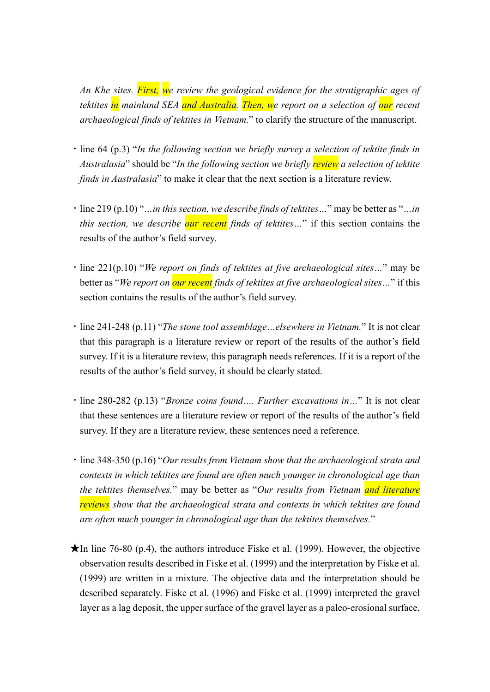An Khe sites. First, we review the geological evidence for the stratigraphic ages of tektites in mainland SEA and Australia. Then, we report on a selection of our recent archaeological finds of tektites in Vietnam." to clarify the structure of the manuscript.

- ・line 64 (p.3) "In the following section we briefly survey a selection of tektite finds in Australasia" should be "In the following section we briefly review a selection of tektite finds in Australasia" to make it clear that the next section is a literature review.
- line 219 (p.10) "...in this section, we describe finds of tektites..." may be better as "...in this section, we describe our recent finds of tektites..." if this section contains the results of the author's field survey.
- ・line 221(p.10) "We report on finds of tektites at five archaeological sites…" may be better as "We report on our recent finds of tektites at five archaeological sites..." if this section contains the results of the author's field survey.
- ・line 241-248 (p.11) "The stone tool assemblage…elsewhere in Vietnam." It is not clear that this paragraph is a literature review or report of the results of the author's field survey. If it is a literature review, this paragraph needs references. If it is a report of the results of the author's field survey, it should be clearly stated.
- ・line 280-282 (p.13) "Bronze coins found…. Further excavations in…" It is not clear that these sentences are a literature review or report of the results of the author's field survey. If they are a literature review, these sentences need a reference.
- ・line 348-350 (p.16) "Our results from Vietnam show that the archaeological strata and contexts in which tektites are found are often much younger in chronological age than the tektites themselves." may be better as "Our results from Vietnam and literature reviews show that the archaeological strata and contexts in which tektites are found are often much younger in chronological age than the tektites themselves."
- $\star$ In line 76-80 (p.4), the authors introduce Fiske et al. (1999). However, the objective observation results described in Fiske et al. (1999) and the interpretation by Fiske et al. (1999) are written in a mixture. The objective data and the interpretation should be described separately. Fiske et al. (1996) and Fiske et al. (1999) interpreted the gravel layer as a lag deposit, the upper surface of the gravel layer as a paleo-erosional surface,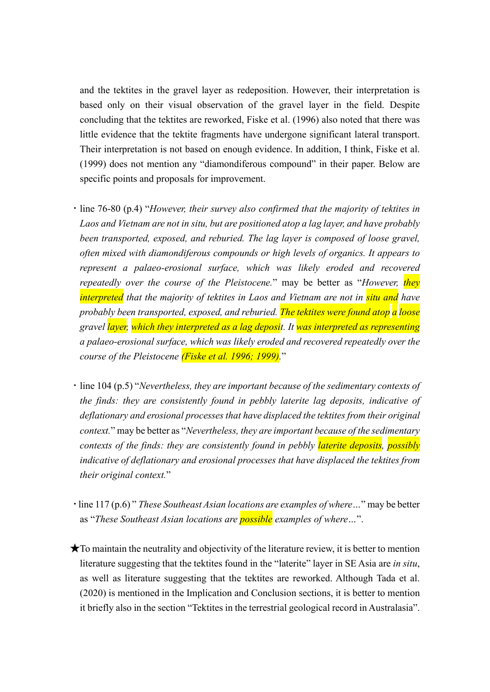and the tektites in the gravel layer as redeposition. However, their interpretation is based only on their visual observation of the gravel layer in the field. Despite concluding that the tektites are reworked, Fiske et al. (1996) also noted that there was little evidence that the tektite fragments have undergone significant lateral transport. Their interpretation is not based on enough evidence. In addition, I think, Fiske et al. (1999) does not mention any "diamondiferous compound" in their paper. Below are specific points and proposals for improvement.

- ・line 76-80 (p.4) "However, their survey also confirmed that the majority of tektites in Laos and Vietnam are not in situ, but are positioned atop a lag layer, and have probably been transported, exposed, and reburied. The lag layer is composed of loose gravel, often mixed with diamondiferous compounds or high levels of organics. It appears to represent a palaeo-erosional surface, which was likely eroded and recovered repeatedly over the course of the Pleistocene." may be better as "However, they interpreted that the majority of tektites in Laos and Vietnam are not in **situ and** have probably been transported, exposed, and reburied. The tektites were found atop a loose gravel layer, which they interpreted as a lag deposit. It was interpreted as representing a palaeo-erosional surface, which was likely eroded and recovered repeatedly over the course of the Pleistocene *(Fiske et al. 1996; 1999)*."
- ・line 104 (p.5) "Nevertheless, they are important because of the sedimentary contexts of the finds: they are consistently found in pebbly laterite lag deposits, indicative of deflationary and erosional processes that have displaced the tektites from their original context." may be better as "Nevertheless, they are important because of the sedimentary contexts of the finds: they are consistently found in pebbly laterite deposits, possibly indicative of deflationary and erosional processes that have displaced the tektites from their original context."
- ・line 117 (p.6) " These Southeast Asian locations are examples of where…" may be better as "These Southeast Asian locations are **possible** examples of where...".
- $\bigstar$  To maintain the neutrality and objectivity of the literature review, it is better to mention literature suggesting that the tektites found in the "laterite" layer in SE Asia are in situ, as well as literature suggesting that the tektites are reworked. Although Tada et al. (2020) is mentioned in the Implication and Conclusion sections, it is better to mention it briefly also in the section "Tektites in the terrestrial geological record in Australasia".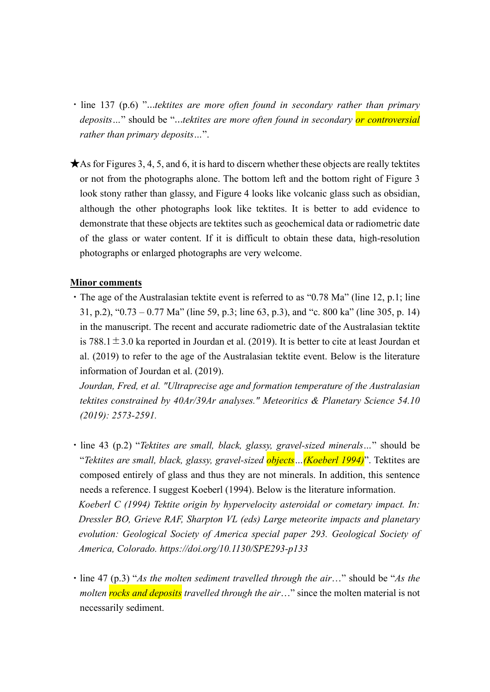- line 137 (p.6) "...tektites are more often found in secondary rather than primary deposits..." should be "...tektites are more often found in secondary or controversial rather than primary deposits…".
- $\star$ As for Figures 3, 4, 5, and 6, it is hard to discern whether these objects are really tektites or not from the photographs alone. The bottom left and the bottom right of Figure 3 look stony rather than glassy, and Figure 4 looks like volcanic glass such as obsidian, although the other photographs look like tektites. It is better to add evidence to demonstrate that these objects are tektites such as geochemical data or radiometric date of the glass or water content. If it is difficult to obtain these data, high-resolution photographs or enlarged photographs are very welcome.

## Minor comments

・The age of the Australasian tektite event is referred to as "0.78 Ma" (line 12, p.1; line 31, p.2), "0.73 – 0.77 Ma" (line 59, p.3; line 63, p.3), and "c. 800 ka" (line 305, p. 14) in the manuscript. The recent and accurate radiometric date of the Australasian tektite is 788.1  $\pm$ 3.0 ka reported in Jourdan et al. (2019). It is better to cite at least Jourdan et al. (2019) to refer to the age of the Australasian tektite event. Below is the literature information of Jourdan et al. (2019).

Jourdan, Fred, et al. "Ultraprecise age and formation temperature of the Australasian tektites constrained by 40Ar/39Ar analyses." Meteoritics & Planetary Science 54.10 (2019): 2573-2591.

- ・line 43 (p.2) "Tektites are small, black, glassy, gravel-sized minerals…" should be "Tektites are small, black, glassy, gravel-sized *objects...(Koeberl 1994)*". Tektites are composed entirely of glass and thus they are not minerals. In addition, this sentence needs a reference. I suggest Koeberl (1994). Below is the literature information. Koeberl C (1994) Tektite origin by hypervelocity asteroidal or cometary impact. In: Dressler BO, Grieve RAF, Sharpton VL (eds) Large meteorite impacts and planetary evolution: Geological Society of America special paper 293. Geological Society of America, Colorado. https://doi.org/10.1130/SPE293-p133
- line 47 (p.3) "As the molten sediment travelled through the air..." should be "As the molten rocks and deposits travelled through the air..." since the molten material is not necessarily sediment.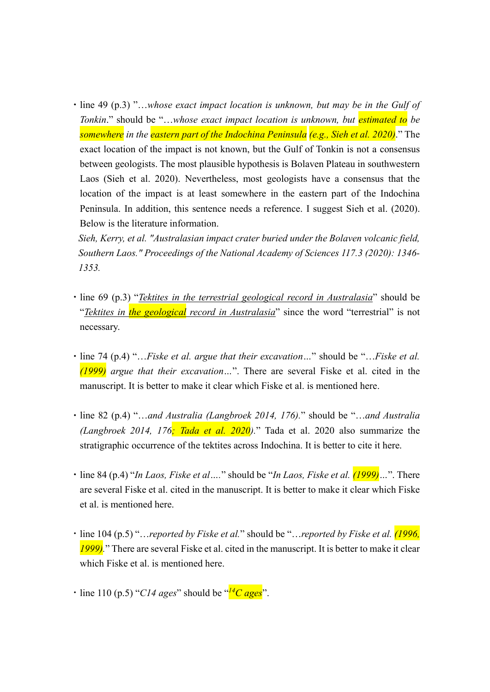• line 49 (p.3) "...whose exact impact location is unknown, but may be in the Gulf of Tonkin." should be "...whose exact impact location is unknown, but *estimated to* be somewhere in the eastern part of the Indochina Peninsula (e.g., Sieh et al. 2020)." The exact location of the impact is not known, but the Gulf of Tonkin is not a consensus between geologists. The most plausible hypothesis is Bolaven Plateau in southwestern Laos (Sieh et al. 2020). Nevertheless, most geologists have a consensus that the location of the impact is at least somewhere in the eastern part of the Indochina Peninsula. In addition, this sentence needs a reference. I suggest Sieh et al. (2020). Below is the literature information.

Sieh, Kerry, et al. "Australasian impact crater buried under the Bolaven volcanic field, Southern Laos." Proceedings of the National Academy of Sciences 117.3 (2020): 1346- 1353.

- line 69 (p.3) "Tektites in the terrestrial geological record in Australasia" should be "Tektites in *the geological record in Australasia*" since the word "terrestrial" is not necessary.
- line 74 (p.4) "...Fiske et al. argue that their excavation..." should be "...Fiske et al.  $(1999)$  argue that their excavation...". There are several Fiske et al. cited in the manuscript. It is better to make it clear which Fiske et al. is mentioned here.
- line 82 (p.4) "…and Australia (Langbroek 2014, 176)." should be "…and Australia (Langbroek 2014, 176; Tada et al. 2020)." Tada et al. 2020 also summarize the stratigraphic occurrence of the tektites across Indochina. It is better to cite it here.
- $\cdot$  line 84 (p.4) "In Laos, Fiske et al...." should be "In Laos, Fiske et al.  $(1999)$ ...". There are several Fiske et al. cited in the manuscript. It is better to make it clear which Fiske et al. is mentioned here.
- line 104 (p.5) "... reported by Fiske et al." should be "... reported by Fiske et al.  $(1996, 1996)$ 1999)." There are several Fiske et al. cited in the manuscript. It is better to make it clear which Fiske et al. is mentioned here.
- · line 110 (p.5) "C14 ages" should be " $^{14}C$  ages".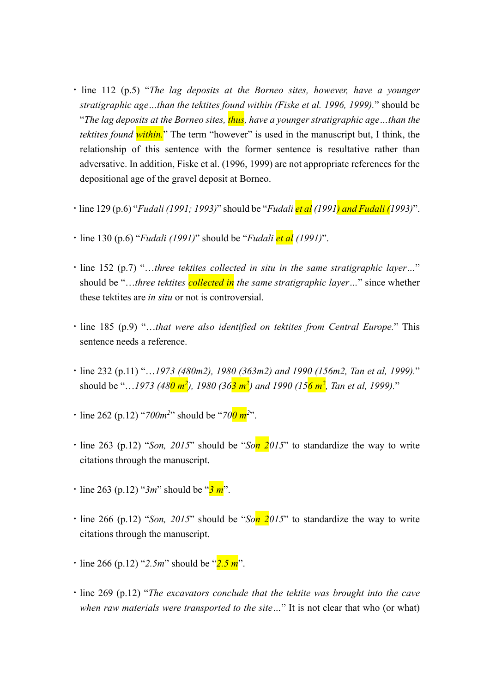- line 112 (p.5) "The lag deposits at the Borneo sites, however, have a younger stratigraphic age…than the tektites found within (Fiske et al. 1996, 1999)." should be "The lag deposits at the Borneo sites, *thus*, have a younger stratigraphic age...than the tektites found within." The term "however" is used in the manuscript but, I think, the relationship of this sentence with the former sentence is resultative rather than adversative. In addition, Fiske et al. (1996, 1999) are not appropriate references for the depositional age of the gravel deposit at Borneo.
- line 129 (p.6) "*Fudali (1991; 1993)*" should be "*Fudali et al (1991) and Fudali (1993)*".
- line 130 (p.6) "Fudali (1991)" should be "Fudali et al (1991)".
- line 152 (p.7) "...three tektites collected in situ in the same stratigraphic layer..." should be "…three tektites collected in the same stratigraphic layer..." since whether these tektites are *in situ* or not is controversial.
- ・line 185 (p.9) "…that were also identified on tektites from Central Europe." This sentence needs a reference.
- ・line 232 (p.11) "…1973 (480m2), 1980 (363m2) and 1990 (156m2, Tan et al, 1999)." should be "...1973 (48<mark>0 m<sup>2</sup>)</mark>, 1980 (36<mark>3 m<sup>2</sup>) and 1990 (15<mark>6 m<sup>2</sup></mark>, Tan et al, 1999)."</mark>
- · line 262 (p.12) "700 $m^{2}$ " should be "700 $m^{2}$ ".
- line 263 (p.12) "Son, 2015" should be "Son 2015" to standardize the way to write citations through the manuscript.
- line 263 (p.12) " $3m$ " should be " $3m$ ".
- line 266 (p.12) "Son, 2015" should be "Son 2015" to standardize the way to write citations through the manuscript.
- · line 266 (p.12) "2.5*m*" should be " $2.5 m$ ".
- ・line 269 (p.12) "The excavators conclude that the tektite was brought into the cave when raw materials were transported to the site..." It is not clear that who (or what)